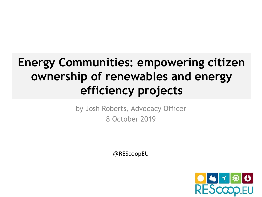### **Energy Communities: empowering citizen ownership of renewables and energy efficiency projects**

by Josh Roberts, Advocacy Officer 8 October 2019

@REScoopEU

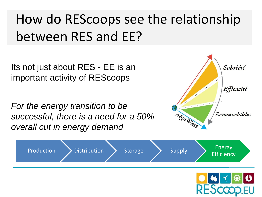## How do REScoops see the relationship between RES and EE?

Its not just about RES - EE is an important activity of REScoops

*For the energy transition to be successful, there is a need for a 50% overall cut in energy demand* 





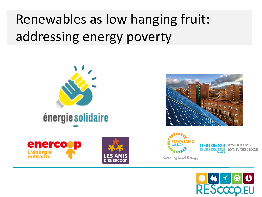## Renewables as low hanging fruit: addressing energy poverty



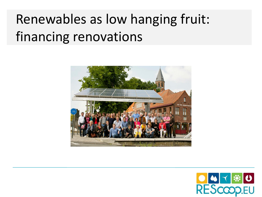## Renewables as low hanging fruit: financing renovations



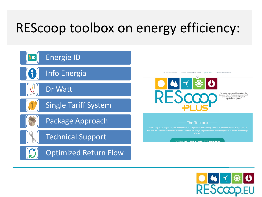## REScoop toolbox on energy efficiency:



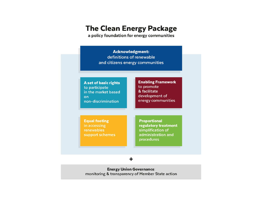#### **The Clean Energy Package**

a policy foundation for energy communities

| <b>Acknowledgment:</b><br>definitions of renewable<br>and citizens energy communities                |
|------------------------------------------------------------------------------------------------------|
| <b>Enabling Framework</b><br>to promote<br>& facilitate<br>development of<br>energy communities      |
| <b>Proportional</b><br>regulatory treatment<br>simplification of<br>administration and<br>procedures |
|                                                                                                      |

**Energy Union Governance:** monitoring & transparency of Member State action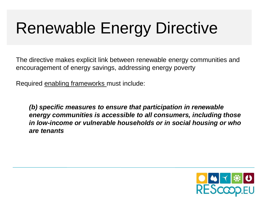# Renewable Energy Directive

The directive makes explicit link between renewable energy communities and encouragement of energy savings, addressing energy poverty

Required enabling frameworks must include:

*(b) specific measures to ensure that participation in renewable energy communities is accessible to all consumers, including those in low-income or vulnerable households or in social housing or who are tenants*

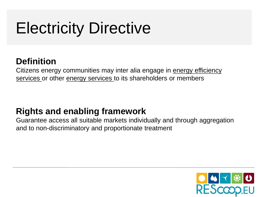## Electricity Directive

### **Definition**

Citizens energy communities may inter alia engage in energy efficiency services or other energy services to its shareholders or members

#### **Rights and enabling framework**

Guarantee access all suitable markets individually and through aggregation and to non-discriminatory and proportionate treatment

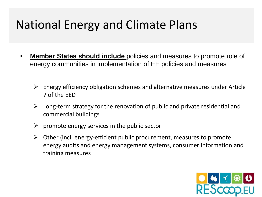## National Energy and Climate Plans

- **Member States should include** policies and measures to promote role of energy communities in implementation of EE policies and measures
	- $\triangleright$  Energy efficiency obligation schemes and alternative measures under Article 7 of the EED
	- $\triangleright$  Long-term strategy for the renovation of public and private residential and commercial buildings
	- $\triangleright$  promote energy services in the public sector
	- $\triangleright$  Other (incl. energy-efficient public procurement, measures to promote energy audits and energy management systems, consumer information and training measures

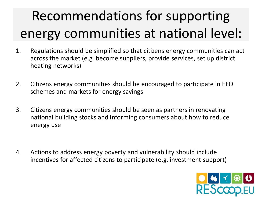## Recommendations for supporting energy communities at national level:

- 1. Regulations should be simplified so that citizens energy communities can act across the market (e.g. become suppliers, provide services, set up district heating networks)
- 2. Citizens energy communities should be encouraged to participate in EEO schemes and markets for energy savings
- 3. Citizens energy communities should be seen as partners in renovating national building stocks and informing consumers about how to reduce energy use
- 4. Actions to address energy poverty and vulnerability should include incentives for affected citizens to participate (e.g. investment support)